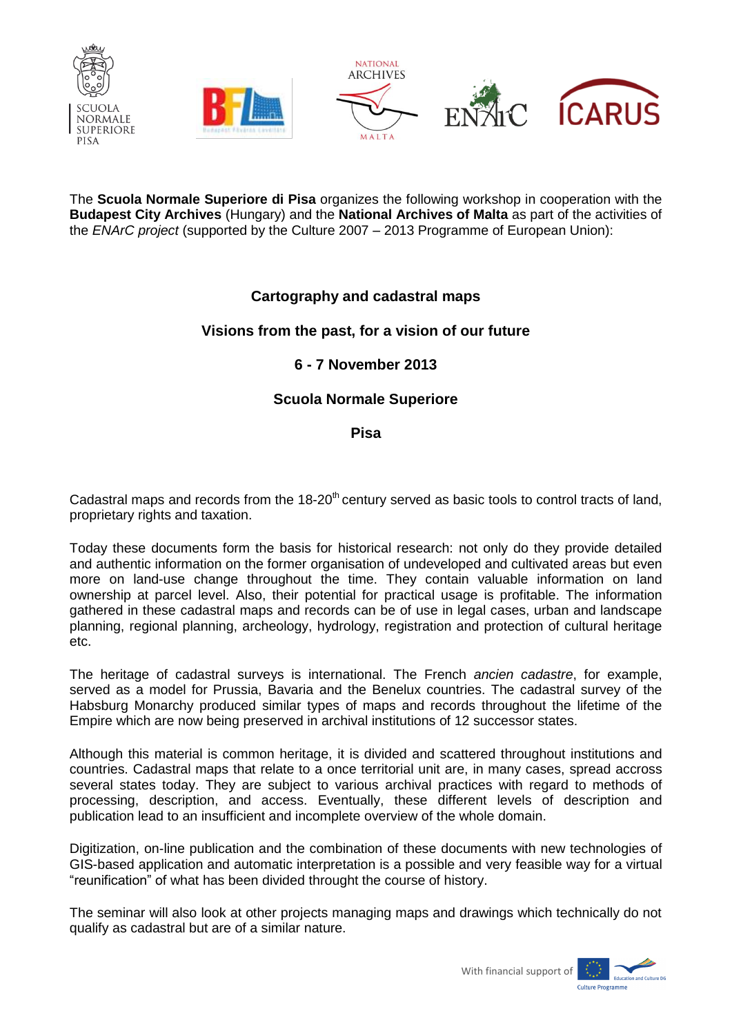

The **Scuola Normale Superiore di Pisa** organizes the following workshop in cooperation with the **Budapest City Archives** (Hungary) and the **National Archives of Malta** as part of the activities of the *ENArC project* (supported by the Culture 2007 – 2013 Programme of European Union):

# **Cartography and cadastral maps**

## **Visions from the past, for a vision of our future**

## **6 - 7 November 2013**

## **Scuola Normale Superiore**

### **Pisa**

Cadastral maps and records from the  $18-20<sup>th</sup>$  century served as basic tools to control tracts of land, proprietary rights and taxation.

Today these documents form the basis for historical research: not only do they provide detailed and authentic information on the former organisation of undeveloped and cultivated areas but even more on land-use change throughout the time. They contain valuable information on land ownership at parcel level. Also, their potential for practical usage is profitable. The information gathered in these cadastral maps and records can be of use in legal cases, urban and landscape planning, regional planning, archeology, hydrology, registration and protection of cultural heritage etc.

The heritage of cadastral surveys is international. The French *ancien cadastre*, for example, served as a model for Prussia, Bavaria and the Benelux countries. The cadastral survey of the Habsburg Monarchy produced similar types of maps and records throughout the lifetime of the Empire which are now being preserved in archival institutions of 12 successor states.

Although this material is common heritage, it is divided and scattered throughout institutions and countries. Cadastral maps that relate to a once territorial unit are, in many cases, spread accross several states today. They are subject to various archival practices with regard to methods of processing, description, and access. Eventually, these different levels of description and publication lead to an insufficient and incomplete overview of the whole domain.

Digitization, on-line publication and the combination of these documents with new technologies of GIS-based application and automatic interpretation is a possible and very feasible way for a virtual "reunification" of what has been divided throught the course of history.

The seminar will also look at other projects managing maps and drawings which technically do not qualify as cadastral but are of a similar nature.



With financial support of